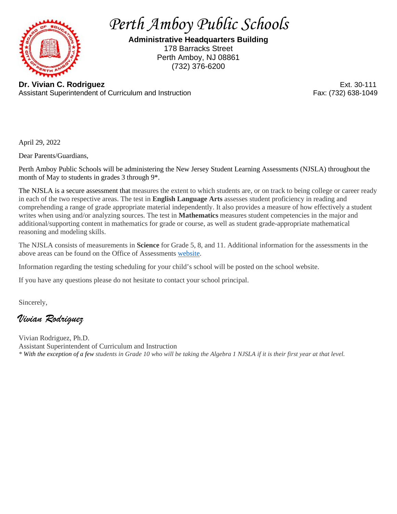

*Perth Amboy Public Schools*

**Administrative Headquarters Building** 178 Barracks Street Perth Amboy, NJ 08861 (732) 376-6200

**Dr. Vivian C. Rodriguez** Ext. 30-111 Assistant Superintendent of Curriculum and Instruction

April 29, 2022

Dear Parents/Guardians,

Perth Amboy Public Schools will be administering the New Jersey Student Learning Assessments (NJSLA) throughout the month of May to students in grades 3 through 9\*.

The NJSLA is a secure assessment that measures the extent to which students are, or on track to being college or career ready in each of the two respective areas. The test in **English Language Arts** assesses student proficiency in reading and comprehending a range of grade appropriate material independently. It also provides a measure of how effectively a student writes when using and/or analyzing sources. The test in **Mathematics** measures student competencies in the major and additional/supporting content in mathematics for grade or course, as well as student grade-appropriate mathematical reasoning and modeling skills.

The NJSLA consists of measurements in **Science** for Grade 5, 8, and 11. Additional information for the assessments in the above areas can be found on the Office of Assessments [website.](https://www.state.nj.us/education/assessment/)

Information regarding the testing scheduling for your child's school will be posted on the school website.

If you have any questions please do not hesitate to contact your school principal.

Sincerely,

*Vivian Rodriguez*

Vivian Rodriguez, Ph.D. Assistant Superintendent of Curriculum and Instruction *\* With the exception of a few students in Grade 10 who will be taking the Algebra 1 NJSLA if it is their first year at that level.*